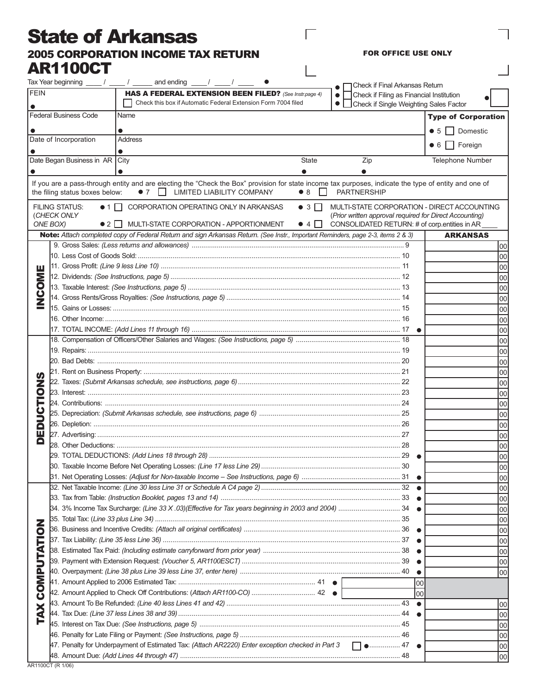## State of Arkansas 2005 CORPORATION INCOME TAX RETURN AR1100CT

FOR OFFICE USE ONLY

 $\overline{\phantom{a}}$ 

 $\Box$ 

 $\overline{\phantom{a}}$ 

|                                         | Tax Year beginning $\frac{\ }{\ }$ / $\frac{\ }{\ }$ / $\frac{\ }{\ }$                  | and ending                                                                                                                                                                                            |                                                               |                                          | Check if Final Arkansas Return                                                                           |     |                                             |
|-----------------------------------------|-----------------------------------------------------------------------------------------|-------------------------------------------------------------------------------------------------------------------------------------------------------------------------------------------------------|---------------------------------------------------------------|------------------------------------------|----------------------------------------------------------------------------------------------------------|-----|---------------------------------------------|
| <b>FEIN</b>                             |                                                                                         |                                                                                                                                                                                                       | HAS A FEDERAL EXTENSION BEEN FILED? (See Instr.page 4)        |                                          | Check if Filing as Financial Institution                                                                 |     |                                             |
|                                         |                                                                                         |                                                                                                                                                                                                       | Check this box if Automatic Federal Extension Form 7004 filed |                                          | • Check if Single Weighting Sales Factor                                                                 |     |                                             |
| <b>Federal Business Code</b><br>Name    |                                                                                         |                                                                                                                                                                                                       |                                                               |                                          |                                                                                                          |     | <b>Type of Corporation</b>                  |
|                                         |                                                                                         |                                                                                                                                                                                                       |                                                               |                                          |                                                                                                          |     | Domestic<br>• 5                             |
| Date of Incorporation<br><b>Address</b> |                                                                                         |                                                                                                                                                                                                       |                                                               |                                          |                                                                                                          |     |                                             |
|                                         |                                                                                         |                                                                                                                                                                                                       |                                                               |                                          |                                                                                                          |     | • 6 Foreign                                 |
|                                         | Date Began Business in AR City                                                          |                                                                                                                                                                                                       |                                                               | <b>State</b>                             | Zip                                                                                                      |     | Telephone Number                            |
|                                         |                                                                                         |                                                                                                                                                                                                       |                                                               |                                          |                                                                                                          |     |                                             |
|                                         | the filing status boxes below:                                                          | If you are a pass-through entity and are electing the "Check the Box" provision for state income tax purposes, indicate the type of entity and one of<br>$\bullet$ 7 $\Box$ LIMITED LIABILITY COMPANY |                                                               | $\bullet$ 8<br>$\mathbf{L}$              | <b>PARTNERSHIP</b>                                                                                       |     |                                             |
|                                         | <b>FILING STATUS:</b><br>(CHECK ONLY<br>ONE BOX)<br>$\bullet$ 2 $\parallel$ $\parallel$ | $\bullet$ 1    <br>CORPORATION OPERATING ONLY IN ARKANSAS<br>MULTI-STATE CORPORATION - APPORTIONMENT                                                                                                  |                                                               | $\bullet$ 3 $\Box$<br>$\bullet$ 4 $\Box$ | (Prior written approval required for Direct Accounting)<br>CONSOLIDATED RETURN: # of corp.entities in AR |     | MULTI-STATE CORPORATION - DIRECT ACCOUNTING |
|                                         |                                                                                         | Note: Attach completed copy of Federal Return and sign Arkansas Return. (See Instr., Important Reminders, page 2-3, items 2 & 3)                                                                      |                                                               |                                          |                                                                                                          |     | <b>ARKANSAS</b>                             |
|                                         |                                                                                         |                                                                                                                                                                                                       |                                                               |                                          |                                                                                                          |     | 00                                          |
|                                         |                                                                                         |                                                                                                                                                                                                       |                                                               |                                          |                                                                                                          |     | 00                                          |
| ш                                       |                                                                                         |                                                                                                                                                                                                       |                                                               |                                          |                                                                                                          |     | 00                                          |
| Σ                                       |                                                                                         |                                                                                                                                                                                                       |                                                               |                                          |                                                                                                          |     | 00                                          |
|                                         |                                                                                         |                                                                                                                                                                                                       |                                                               |                                          |                                                                                                          |     | 00                                          |
| <b>OS</b>                               |                                                                                         |                                                                                                                                                                                                       |                                                               |                                          |                                                                                                          |     | 00                                          |
|                                         |                                                                                         |                                                                                                                                                                                                       |                                                               |                                          |                                                                                                          |     | 00                                          |
|                                         |                                                                                         |                                                                                                                                                                                                       |                                                               |                                          |                                                                                                          |     | 00                                          |
|                                         |                                                                                         |                                                                                                                                                                                                       |                                                               |                                          |                                                                                                          |     | 00                                          |
|                                         |                                                                                         |                                                                                                                                                                                                       |                                                               |                                          |                                                                                                          |     | 00                                          |
|                                         |                                                                                         |                                                                                                                                                                                                       |                                                               |                                          |                                                                                                          |     | 00                                          |
|                                         |                                                                                         |                                                                                                                                                                                                       |                                                               |                                          |                                                                                                          |     | 00                                          |
| ഗ<br>Z<br>$\overline{\mathbf{Q}}$       |                                                                                         |                                                                                                                                                                                                       |                                                               |                                          |                                                                                                          |     | 00                                          |
|                                         |                                                                                         |                                                                                                                                                                                                       |                                                               |                                          |                                                                                                          |     | 00                                          |
|                                         |                                                                                         |                                                                                                                                                                                                       |                                                               |                                          |                                                                                                          |     | 00                                          |
|                                         |                                                                                         |                                                                                                                                                                                                       |                                                               |                                          |                                                                                                          |     | 00                                          |
|                                         |                                                                                         |                                                                                                                                                                                                       |                                                               |                                          |                                                                                                          |     | 00                                          |
| ō                                       |                                                                                         |                                                                                                                                                                                                       |                                                               |                                          |                                                                                                          |     | 00                                          |
| ш                                       |                                                                                         |                                                                                                                                                                                                       |                                                               |                                          |                                                                                                          |     | 00                                          |
|                                         |                                                                                         |                                                                                                                                                                                                       |                                                               |                                          |                                                                                                          |     | 00                                          |
|                                         |                                                                                         |                                                                                                                                                                                                       |                                                               |                                          |                                                                                                          |     | 00                                          |
|                                         |                                                                                         |                                                                                                                                                                                                       |                                                               |                                          |                                                                                                          |     | lool                                        |
|                                         |                                                                                         |                                                                                                                                                                                                       |                                                               |                                          |                                                                                                          |     | 00                                          |
|                                         |                                                                                         |                                                                                                                                                                                                       |                                                               |                                          |                                                                                                          |     | 00                                          |
|                                         |                                                                                         |                                                                                                                                                                                                       | 00                                                            |                                          |                                                                                                          |     |                                             |
|                                         |                                                                                         |                                                                                                                                                                                                       | 00                                                            |                                          |                                                                                                          |     |                                             |
|                                         |                                                                                         |                                                                                                                                                                                                       |                                                               |                                          |                                                                                                          |     | 00                                          |
| $\bullet$                               |                                                                                         |                                                                                                                                                                                                       |                                                               |                                          |                                                                                                          |     | 00                                          |
|                                         |                                                                                         |                                                                                                                                                                                                       |                                                               |                                          |                                                                                                          |     | 00                                          |
|                                         |                                                                                         |                                                                                                                                                                                                       |                                                               |                                          |                                                                                                          |     | 00                                          |
|                                         |                                                                                         |                                                                                                                                                                                                       |                                                               |                                          |                                                                                                          |     | 00                                          |
| COMPUTATI                               |                                                                                         | 40. Overpayment: <i>(Line 38 plus Line 39 less Line 37, enter here) ……………………………………………………………………</i> 40                                                                                                 |                                                               |                                          |                                                                                                          |     | 00                                          |
|                                         |                                                                                         |                                                                                                                                                                                                       |                                                               |                                          |                                                                                                          | 00  |                                             |
|                                         |                                                                                         | 42. Amount Applied to Check Off Contributions: (Attach AR1100-CO)  42 ●                                                                                                                               |                                                               |                                          |                                                                                                          | loo |                                             |
| X                                       |                                                                                         |                                                                                                                                                                                                       |                                                               |                                          |                                                                                                          |     | 00                                          |
| É                                       |                                                                                         |                                                                                                                                                                                                       |                                                               |                                          |                                                                                                          |     | 00                                          |
|                                         |                                                                                         |                                                                                                                                                                                                       |                                                               |                                          |                                                                                                          |     | 00                                          |
|                                         |                                                                                         | 47. Penalty for Underpayment of Estimated Tax: (Attach AR2220) Enter exception checked in Part 3 $\Box$ 47                                                                                            |                                                               |                                          |                                                                                                          |     | 00                                          |
|                                         |                                                                                         |                                                                                                                                                                                                       |                                                               |                                          |                                                                                                          |     | 00                                          |
|                                         |                                                                                         |                                                                                                                                                                                                       |                                                               |                                          |                                                                                                          |     | 00                                          |